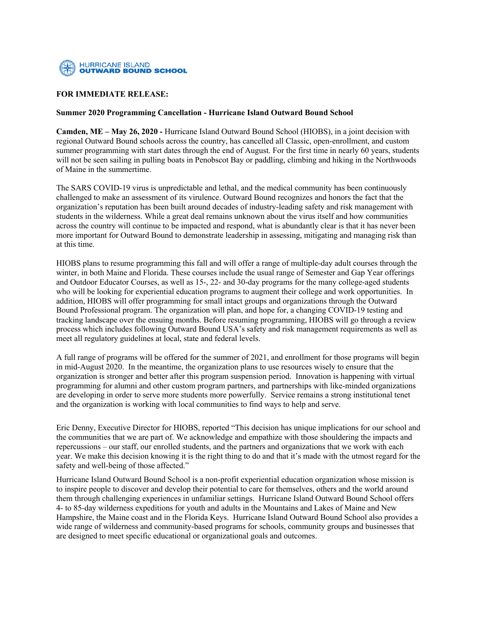

## **FOR IMMEDIATE RELEASE:**

## **Summer 2020 Programming Cancellation - Hurricane Island Outward Bound School**

**Camden, ME – May 26, 2020 -** Hurricane Island Outward Bound School (HIOBS), in a joint decision with regional Outward Bound schools across the country, has cancelled all Classic, open-enrollment, and custom summer programming with start dates through the end of August. For the first time in nearly 60 years, students will not be seen sailing in pulling boats in Penobscot Bay or paddling, climbing and hiking in the Northwoods of Maine in the summertime.

The SARS COVID-19 virus is unpredictable and lethal, and the medical community has been continuously challenged to make an assessment of its virulence. Outward Bound recognizes and honors the fact that the organization's reputation has been built around decades of industry-leading safety and risk management with students in the wilderness. While a great deal remains unknown about the virus itself and how communities across the country will continue to be impacted and respond, what is abundantly clear is that it has never been more important for Outward Bound to demonstrate leadership in assessing, mitigating and managing risk than at this time.

HIOBS plans to resume programming this fall and will offer a range of multiple-day adult courses through the winter, in both Maine and Florida. These courses include the usual range of Semester and Gap Year offerings and Outdoor Educator Courses, as well as 15-, 22- and 30-day programs for the many college-aged students who will be looking for experiential education programs to augment their college and work opportunities. In addition, HIOBS will offer programming for small intact groups and organizations through the Outward Bound Professional program. The organization will plan, and hope for, a changing COVID-19 testing and tracking landscape over the ensuing months. Before resuming programming, HIOBS will go through a review process which includes following Outward Bound USA's safety and risk management requirements as well as meet all regulatory guidelines at local, state and federal levels.

A full range of programs will be offered for the summer of 2021, and enrollment for those programs will begin in mid-August 2020. In the meantime, the organization plans to use resources wisely to ensure that the organization is stronger and better after this program suspension period. Innovation is happening with virtual programming for alumni and other custom program partners, and partnerships with like-minded organizations are developing in order to serve more students more powerfully. Service remains a strong institutional tenet and the organization is working with local communities to find ways to help and serve.

Eric Denny, Executive Director for HIOBS, reported "This decision has unique implications for our school and the communities that we are part of. We acknowledge and empathize with those shouldering the impacts and repercussions – our staff, our enrolled students, and the partners and organizations that we work with each year. We make this decision knowing it is the right thing to do and that it's made with the utmost regard for the safety and well-being of those affected."

Hurricane Island Outward Bound School is a non-profit experiential education organization whose mission is to inspire people to discover and develop their potential to care for themselves, others and the world around them through challenging experiences in unfamiliar settings. Hurricane Island Outward Bound School offers 4- to 85-day wilderness expeditions for youth and adults in the Mountains and Lakes of Maine and New Hampshire, the Maine coast and in the Florida Keys. Hurricane Island Outward Bound School also provides a wide range of wilderness and community-based programs for schools, community groups and businesses that are designed to meet specific educational or organizational goals and outcomes.